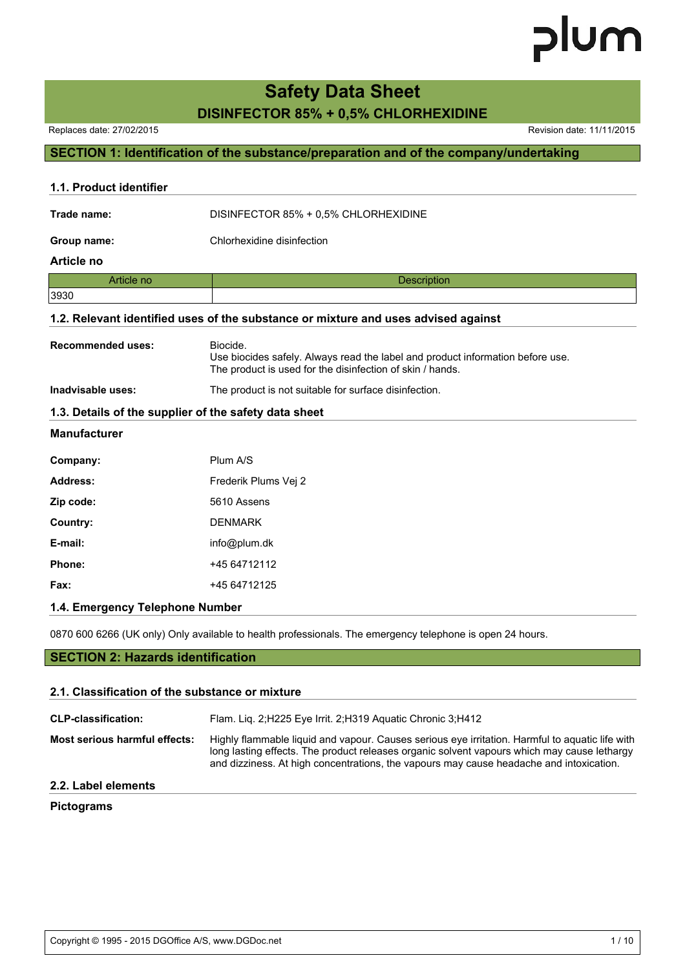# **Safety Data Sheet**

# **DISINFECTOR 85% + 0,5% CHLORHEXIDINE**

Replaces date: 27/02/2015 **Replaces** date: 11/11/2015

# **SECTION 1: Identification of the substance/preparation and of the company/undertaking**

| 1.1. Product identifier  |                                                                                                                                                         |  |  |  |  |  |  |
|--------------------------|---------------------------------------------------------------------------------------------------------------------------------------------------------|--|--|--|--|--|--|
| Trade name:              | DISINFECTOR 85% + 0,5% CHLORHEXIDINE                                                                                                                    |  |  |  |  |  |  |
| Group name:              | Chlorhexidine disinfection                                                                                                                              |  |  |  |  |  |  |
| Article no               |                                                                                                                                                         |  |  |  |  |  |  |
| Article no               | Description                                                                                                                                             |  |  |  |  |  |  |
| 3930                     |                                                                                                                                                         |  |  |  |  |  |  |
|                          | 1.2. Relevant identified uses of the substance or mixture and uses advised against                                                                      |  |  |  |  |  |  |
| <b>Recommended uses:</b> | Biocide.<br>Use biocides safely. Always read the label and product information before use.<br>The product is used for the disinfection of skin / hands. |  |  |  |  |  |  |
| Inadvisable uses:        | The product is not suitable for surface disinfection.                                                                                                   |  |  |  |  |  |  |
|                          | 1.3. Details of the supplier of the safety data sheet                                                                                                   |  |  |  |  |  |  |
| <b>Manufacturer</b>      |                                                                                                                                                         |  |  |  |  |  |  |
| Company:                 | Plum A/S                                                                                                                                                |  |  |  |  |  |  |
| Address:                 | Frederik Plums Vej 2                                                                                                                                    |  |  |  |  |  |  |
| Zip code:                | 5610 Assens                                                                                                                                             |  |  |  |  |  |  |
| Country:                 | <b>DENMARK</b>                                                                                                                                          |  |  |  |  |  |  |
| E-mail:                  | info@plum.dk                                                                                                                                            |  |  |  |  |  |  |
| Phone:                   | +45 64712112                                                                                                                                            |  |  |  |  |  |  |
| Fax:                     | +45 64712125                                                                                                                                            |  |  |  |  |  |  |
|                          |                                                                                                                                                         |  |  |  |  |  |  |

### **1.4. Emergency Telephone Number**

0870 600 6266 (UK only) Only available to health professionals. The emergency telephone is open 24 hours.

# **SECTION 2: Hazards identification**

#### **2.1. Classification of the substance or mixture**

| <b>CLP-classification:</b>           | Flam. Lig. 2;H225 Eye Irrit. 2;H319 Aguatic Chronic 3;H412                                                                                                                                                                                                                                |
|--------------------------------------|-------------------------------------------------------------------------------------------------------------------------------------------------------------------------------------------------------------------------------------------------------------------------------------------|
| <b>Most serious harmful effects:</b> | Highly flammable liquid and vapour. Causes serious eye irritation. Harmful to aquatic life with<br>long lasting effects. The product releases organic solvent vapours which may cause lethargy<br>and dizziness. At high concentrations, the vapours may cause headache and intoxication. |
| <b>88.</b> L.L. L.L. . L.            |                                                                                                                                                                                                                                                                                           |

# **2.2. Label elements**

### **Pictograms**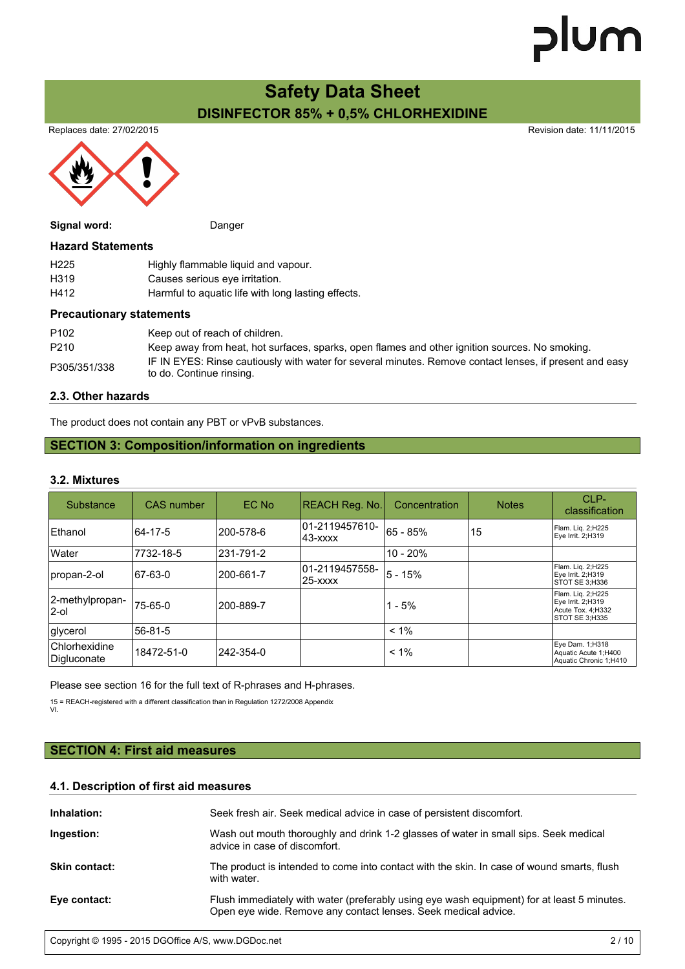# **Safety Data Sheet DISINFECTOR 85% + 0,5% CHLORHEXIDINE**

Replaces date: 27/02/2015 **Replaces** date: 11/11/2015



| Signal word:             | Danger                                             |
|--------------------------|----------------------------------------------------|
| <b>Hazard Statements</b> |                                                    |
| H <sub>225</sub>         | Highly flammable liquid and vapour.                |
| H <sub>319</sub>         | Causes serious eye irritation.                     |
| H412                     | Harmful to aquatic life with long lasting effects. |
|                          |                                                    |

### **Precautionary statements**

| P <sub>102</sub> | Keep out of reach of children.                                                                                                      |
|------------------|-------------------------------------------------------------------------------------------------------------------------------------|
| P <sub>210</sub> | Keep away from heat, hot surfaces, sparks, open flames and other ignition sources. No smoking.                                      |
| P305/351/338     | IF IN EYES: Rinse cautiously with water for several minutes. Remove contact lenses, if present and easy<br>to do. Continue rinsing. |

### **2.3. Other hazards**

The product does not contain any PBT or vPvB substances.

## **SECTION 3: Composition/information on ingredients**

#### **3.2. Mixtures**

| Substance                    | <b>CAS</b> number | <b>EC No</b> | REACH Reg. No.                | Concentration | <b>Notes</b> | $CI$ P-<br>classification                                                      |
|------------------------------|-------------------|--------------|-------------------------------|---------------|--------------|--------------------------------------------------------------------------------|
| <b>Ethanol</b>               | 64-17-5           | l200-578-6   | 01-2119457610-<br>$ 43-xxxx $ | 65 - 85%      | 15           | Flam. Lig. 2;H225<br>Eye Irrit. 2;H319                                         |
| <b>Water</b>                 | 7732-18-5         | 231-791-2    |                               | $10 - 20%$    |              |                                                                                |
| propan-2-ol                  | 67-63-0           | 200-661-7    | 01-2119457558-<br>125-xxxx    | $5 - 15%$     |              | Flam. Lig. 2;H225<br>Eye Irrit. 2;H319<br>STOT SE 3:H336                       |
| 2-methylpropan-<br>l2-ol     | 75-65-0           | 200-889-7    |                               | $1 - 5%$      |              | Flam. Lig. 2;H225<br>Eye Irrit. 2;H319<br>Acute Tox. 4; H332<br>STOT SE 3:H335 |
| glycerol                     | 56-81-5           |              |                               | $< 1\%$       |              |                                                                                |
| Chlorhexidine<br>Digluconate | 18472-51-0        | 242-354-0    |                               | $< 1\%$       |              | Eye Dam. 1;H318<br>Aquatic Acute 1;H400<br>Aquatic Chronic 1;H410              |

Please see section 16 for the full text of R-phrases and H-phrases.

15 = REACH-registered with a different classification than in Regulation 1272/2008 Appendix

VI.

# **SECTION 4: First aid measures**

## **4.1. Description of first aid measures**

| Inhalation:          | Seek fresh air. Seek medical advice in case of persistent discomfort.                                                                                        |
|----------------------|--------------------------------------------------------------------------------------------------------------------------------------------------------------|
| Ingestion:           | Wash out mouth thoroughly and drink 1-2 glasses of water in small sips. Seek medical<br>advice in case of discomfort.                                        |
| <b>Skin contact:</b> | The product is intended to come into contact with the skin. In case of wound smarts, flush<br>with water.                                                    |
| Eye contact:         | Flush immediately with water (preferably using eye wash equipment) for at least 5 minutes.<br>Open eye wide. Remove any contact lenses. Seek medical advice. |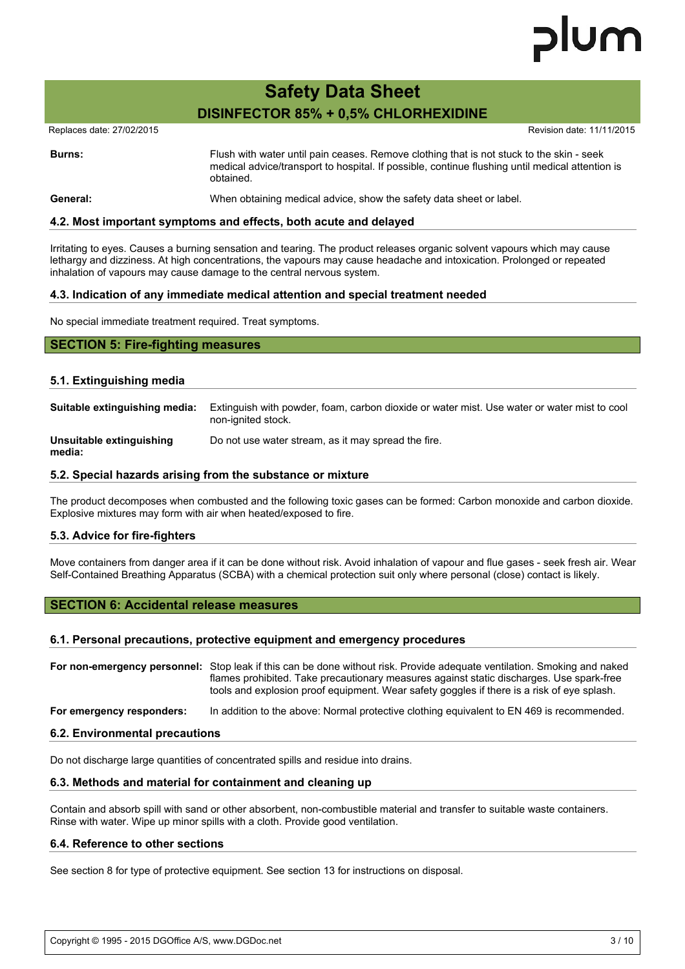# lum

# **Safety Data Sheet DISINFECTOR 85% + 0,5% CHLORHEXIDINE**

Replaces date: 27/02/2015 **Replaces** date: 11/11/2015

**Burns:** Flush with water until pain ceases. Remove clothing that is not stuck to the skin - seek medical advice/transport to hospital. If possible, continue flushing until medical attention is obtained.

#### **General:** When obtaining medical advice, show the safety data sheet or label.

#### **4.2. Most important symptoms and effects, both acute and delayed**

Irritating to eyes. Causes a burning sensation and tearing. The product releases organic solvent vapours which may cause lethargy and dizziness. At high concentrations, the vapours may cause headache and intoxication. Prolonged or repeated inhalation of vapours may cause damage to the central nervous system.

#### **4.3. Indication of any immediate medical attention and special treatment needed**

No special immediate treatment required. Treat symptoms.

# **SECTION 5: Fire-fighting measures**

#### **5.1. Extinguishing media**

| Suitable extinguishing media:      | Extinguish with powder, foam, carbon dioxide or water mist. Use water or water mist to cool<br>non-ignited stock. |
|------------------------------------|-------------------------------------------------------------------------------------------------------------------|
| Unsuitable extinguishing<br>media: | Do not use water stream, as it may spread the fire.                                                               |

#### **5.2. Special hazards arising from the substance or mixture**

The product decomposes when combusted and the following toxic gases can be formed: Carbon monoxide and carbon dioxide. Explosive mixtures may form with air when heated/exposed to fire.

#### **5.3. Advice for fire-fighters**

Move containers from danger area if it can be done without risk. Avoid inhalation of vapour and flue gases - seek fresh air. Wear Self-Contained Breathing Apparatus (SCBA) with a chemical protection suit only where personal (close) contact is likely.

#### **SECTION 6: Accidental release measures**

#### **6.1. Personal precautions, protective equipment and emergency procedures**

**For non-emergency personnel:** Stop leak if this can be done without risk. Provide adequate ventilation. Smoking and naked flames prohibited. Take precautionary measures against static discharges. Use spark-free tools and explosion proof equipment. Wear safety goggles if there is a risk of eye splash.

**For emergency responders:** In addition to the above: Normal protective clothing equivalent to EN 469 is recommended.

#### **6.2. Environmental precautions**

Do not discharge large quantities of concentrated spills and residue into drains.

#### **6.3. Methods and material for containment and cleaning up**

Contain and absorb spill with sand or other absorbent, non-combustible material and transfer to suitable waste containers. Rinse with water. Wipe up minor spills with a cloth. Provide good ventilation.

#### **6.4. Reference to other sections**

See section 8 for type of protective equipment. See section 13 for instructions on disposal.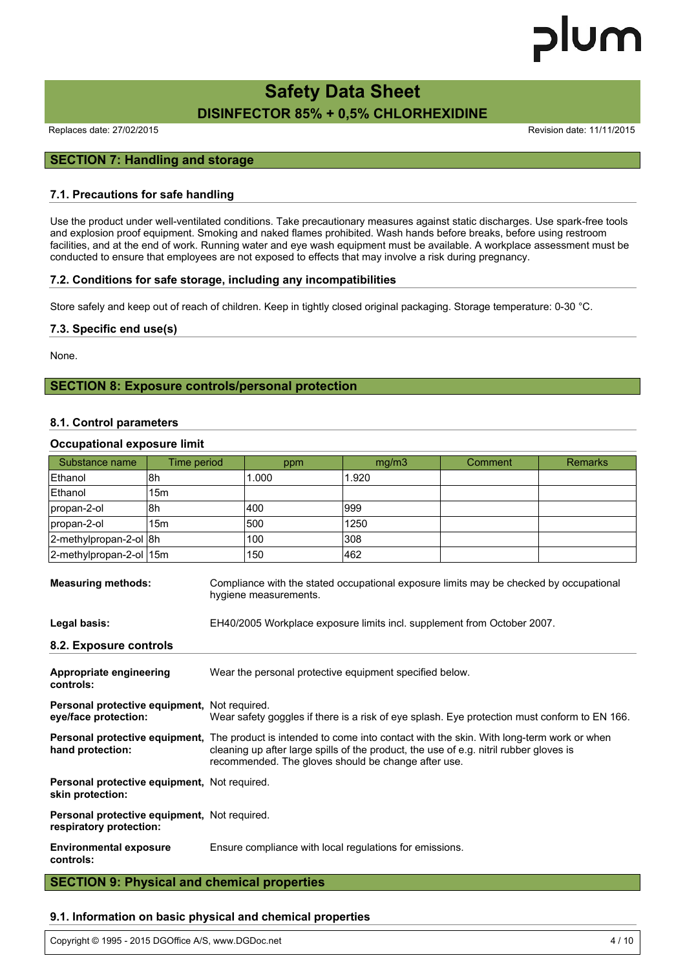# **Safety Data Sheet DISINFECTOR 85% + 0,5% CHLORHEXIDINE**

Replaces date: 27/02/2015 **Replaces** date: 11/11/2015

# **SECTION 7: Handling and storage**

#### **7.1. Precautions for safe handling**

Use the product under well-ventilated conditions. Take precautionary measures against static discharges. Use spark-free tools and explosion proof equipment. Smoking and naked flames prohibited. Wash hands before breaks, before using restroom facilities, and at the end of work. Running water and eye wash equipment must be available. A workplace assessment must be conducted to ensure that employees are not exposed to effects that may involve a risk during pregnancy.

### **7.2. Conditions for safe storage, including any incompatibilities**

Store safely and keep out of reach of children. Keep in tightly closed original packaging. Storage temperature: 0-30 °C.

#### **7.3. Specific end use(s)**

None.

## **SECTION 8: Exposure controls/personal protection**

#### **8.1. Control parameters**

#### **Occupational exposure limit**

| Substance name                                                          | Time period     |                                                                                                                                                                                                                                                                                | ppm   | mg/m3                                                                   | Comment | <b>Remarks</b> |  |
|-------------------------------------------------------------------------|-----------------|--------------------------------------------------------------------------------------------------------------------------------------------------------------------------------------------------------------------------------------------------------------------------------|-------|-------------------------------------------------------------------------|---------|----------------|--|
| Ethanol                                                                 | 8h              |                                                                                                                                                                                                                                                                                | 1.000 | 1.920                                                                   |         |                |  |
| Ethanol                                                                 | 15m             |                                                                                                                                                                                                                                                                                |       |                                                                         |         |                |  |
| propan-2-ol                                                             | 8h              |                                                                                                                                                                                                                                                                                | 400   | 999                                                                     |         |                |  |
| propan-2-ol                                                             | 15 <sub>m</sub> |                                                                                                                                                                                                                                                                                | 500   | 1250                                                                    |         |                |  |
| 2-methylpropan-2-ol 8h                                                  |                 |                                                                                                                                                                                                                                                                                | 100   | 308                                                                     |         |                |  |
| 2-methylpropan-2-ol 15m                                                 |                 |                                                                                                                                                                                                                                                                                | 150   | 462                                                                     |         |                |  |
| <b>Measuring methods:</b>                                               |                 | Compliance with the stated occupational exposure limits may be checked by occupational<br>hygiene measurements.                                                                                                                                                                |       |                                                                         |         |                |  |
| Legal basis:                                                            |                 |                                                                                                                                                                                                                                                                                |       | EH40/2005 Workplace exposure limits incl. supplement from October 2007. |         |                |  |
| 8.2. Exposure controls                                                  |                 |                                                                                                                                                                                                                                                                                |       |                                                                         |         |                |  |
| Appropriate engineering<br>controls:                                    |                 | Wear the personal protective equipment specified below.                                                                                                                                                                                                                        |       |                                                                         |         |                |  |
| Personal protective equipment, Not required.<br>eye/face protection:    |                 | Wear safety goggles if there is a risk of eye splash. Eye protection must conform to EN 166.                                                                                                                                                                                   |       |                                                                         |         |                |  |
| hand protection:                                                        |                 | <b>Personal protective equipment.</b> The product is intended to come into contact with the skin. With long-term work or when<br>cleaning up after large spills of the product, the use of e.g. nitril rubber gloves is<br>recommended. The gloves should be change after use. |       |                                                                         |         |                |  |
| Personal protective equipment, Not required.<br>skin protection:        |                 |                                                                                                                                                                                                                                                                                |       |                                                                         |         |                |  |
| Personal protective equipment, Not required.<br>respiratory protection: |                 |                                                                                                                                                                                                                                                                                |       |                                                                         |         |                |  |
| <b>Environmental exposure</b><br>controls:                              |                 | Ensure compliance with local regulations for emissions.                                                                                                                                                                                                                        |       |                                                                         |         |                |  |

**SECTION 9: Physical and chemical properties**

#### **9.1. Information on basic physical and chemical properties**

Copyright © 1995 - 2015 DGOffice A/S, www.DGDoc.net 4 / 10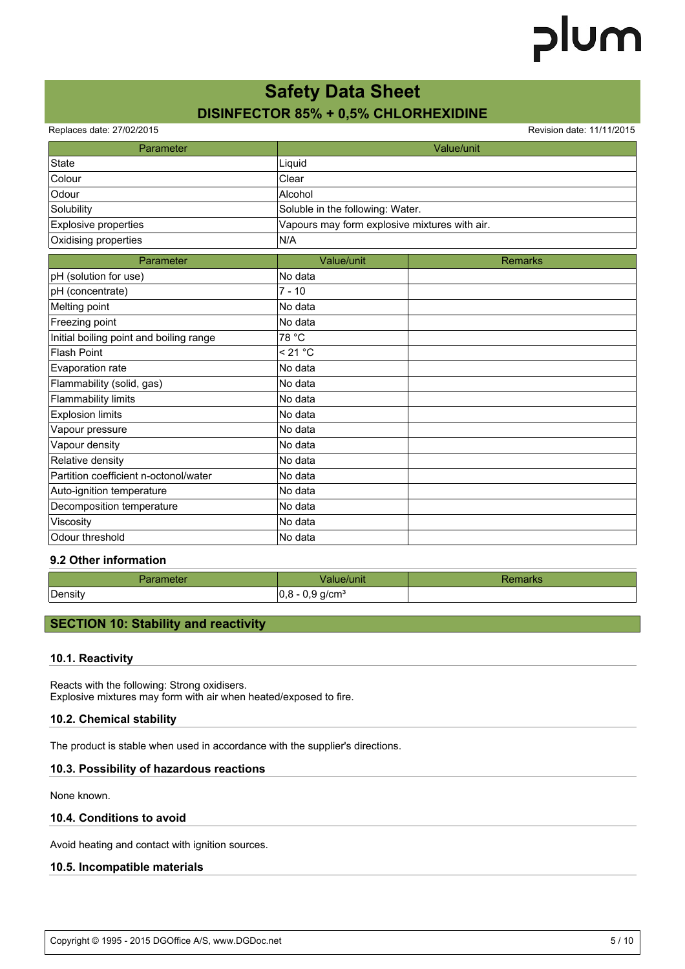# **Safety Data Sheet DISINFECTOR 85% + 0,5% CHLORHEXIDINE**

Replaces date: 27/02/2015 **Replaces** date: 11/11/2015

| Parameter                               |                                               | Value/unit     |  |
|-----------------------------------------|-----------------------------------------------|----------------|--|
| State                                   | Liquid                                        |                |  |
| Colour                                  | Clear                                         |                |  |
| Odour                                   | Alcohol                                       |                |  |
| Solubility                              | Soluble in the following: Water.              |                |  |
| <b>Explosive properties</b>             | Vapours may form explosive mixtures with air. |                |  |
| Oxidising properties                    | N/A                                           |                |  |
| Parameter                               | Value/unit                                    | <b>Remarks</b> |  |
| pH (solution for use)                   | No data                                       |                |  |
| pH (concentrate)                        | $7 - 10$                                      |                |  |
| Melting point                           | No data                                       |                |  |
| Freezing point                          | No data                                       |                |  |
| Initial boiling point and boiling range | 78 °C                                         |                |  |
| <b>Flash Point</b>                      | < 21 °C                                       |                |  |
| Evaporation rate                        | No data                                       |                |  |
| Flammability (solid, gas)               | No data                                       |                |  |
| <b>Flammability limits</b>              | No data                                       |                |  |
| <b>Explosion limits</b>                 | No data                                       |                |  |
| Vapour pressure                         | No data                                       |                |  |
| Vapour density                          | No data                                       |                |  |
| Relative density                        | No data                                       |                |  |
| Partition coefficient n-octonol/water   | No data                                       |                |  |
| Auto-ignition temperature               | No data                                       |                |  |
| Decomposition temperature               | No data                                       |                |  |
| Viscosity                               | No data                                       |                |  |
| Odour threshold                         | No data                                       |                |  |

### **9.2 Other information**

| neter<br>- 11 | 'UNR                         | Harks |
|---------------|------------------------------|-------|
| Density       | חו<br>g/cm <sup>3</sup><br>ັ |       |

# **SECTION 10: Stability and reactivity**

#### **10.1. Reactivity**

Reacts with the following: Strong oxidisers. Explosive mixtures may form with air when heated/exposed to fire.

#### **10.2. Chemical stability**

The product is stable when used in accordance with the supplier's directions.

#### **10.3. Possibility of hazardous reactions**

None known.

#### **10.4. Conditions to avoid**

Avoid heating and contact with ignition sources.

#### **10.5. Incompatible materials**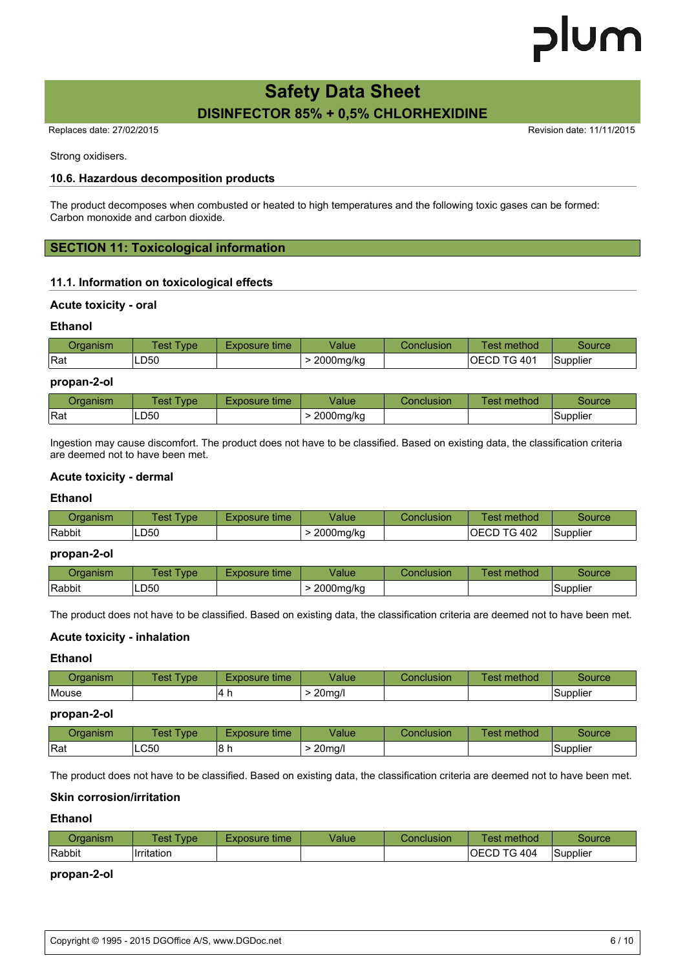# **Safety Data Sheet DISINFECTOR 85% + 0,5% CHLORHEXIDINE**

Replaces date: 27/02/2015 **Replaces** date: 11/11/2015

Strong oxidisers.

### **10.6. Hazardous decomposition products**

The product decomposes when combusted or heated to high temperatures and the following toxic gases can be formed: Carbon monoxide and carbon dioxide.

# **SECTION 11: Toxicological information**

## **11.1. Information on toxicological effects**

#### **Acute toxicity - oral**

#### **Ethanol**

| )raanısm | vpe.<br>est. | time<br>-xposure <sup>.</sup> | Value     | Conclusion | method<br>est       | source   |
|----------|--------------|-------------------------------|-----------|------------|---------------------|----------|
| Rat      | LD50         |                               | 2000mg/kg |            | ⇁⌒<br>. 401<br>OECD | Supplier |

#### **propan-2-ol**

| ⊃rɑanısm | Test<br>ype      | Exposure time | Value     | Conclusion | Test method | source                |
|----------|------------------|---------------|-----------|------------|-------------|-----------------------|
| Rat      | LD <sub>50</sub> |               | 2000mg/kg |            |             | $\cdot$ .<br>Supplier |

Ingestion may cause discomfort. The product does not have to be classified. Based on existing data, the classification criteria are deemed not to have been met.

#### **Acute toxicity - dermal**

#### **Ethanol**

| ⊃rɑanısm      | TestT<br>vpe | Exposure time. | Value     | Conclusion | method<br>Γest | Source   |
|---------------|--------------|----------------|-----------|------------|----------------|----------|
| <b>Rabbit</b> | LD50         |                | 2000mg/kg |            | IOECD TG 402   | Supplier |

#### **propan-2-ol**

| 0raanısm | Test<br>'ype | Exposure time | Value     | Conclusion | method<br>Fest | Source          |
|----------|--------------|---------------|-----------|------------|----------------|-----------------|
| Rabbit   | ∟D50         |               | 2000mg/kg |            |                | <b>Supplier</b> |

The product does not have to be classified. Based on existing data, the classification criteria are deemed not to have been met.

#### **Acute toxicity - inhalation**

#### **Ethanol**

| 5.5.5.5<br>анын | <b>est</b><br>ype | osure time     | Value  | nclusion | method<br>es. | source   |
|-----------------|-------------------|----------------|--------|----------|---------------|----------|
| Mouse           |                   | $\overline{ }$ | 20mg/l |          |               | supplier |

#### **propan-2-ol**

| ∖rganısm | 'est<br><b>vpe</b> | posure time | /alue  | ;onclusion | method<br>les: | Source   |
|----------|--------------------|-------------|--------|------------|----------------|----------|
| Rat      | LC50               | 18 h        | 20ma/l |            |                | Supplier |

The product does not have to be classified. Based on existing data, the classification criteria are deemed not to have been met.

#### **Skin corrosion/irritation**

#### **Ethanol**

| ⊃rɑanısm | est:<br><b>vpe</b> | Exposure time | /alue | Conclusion | method<br>' est     | Source   |
|----------|--------------------|---------------|-------|------------|---------------------|----------|
| Rabbit   | Irritation         |               |       |            | <b>IOECD TG 404</b> | Supplier |

#### **propan-2-ol**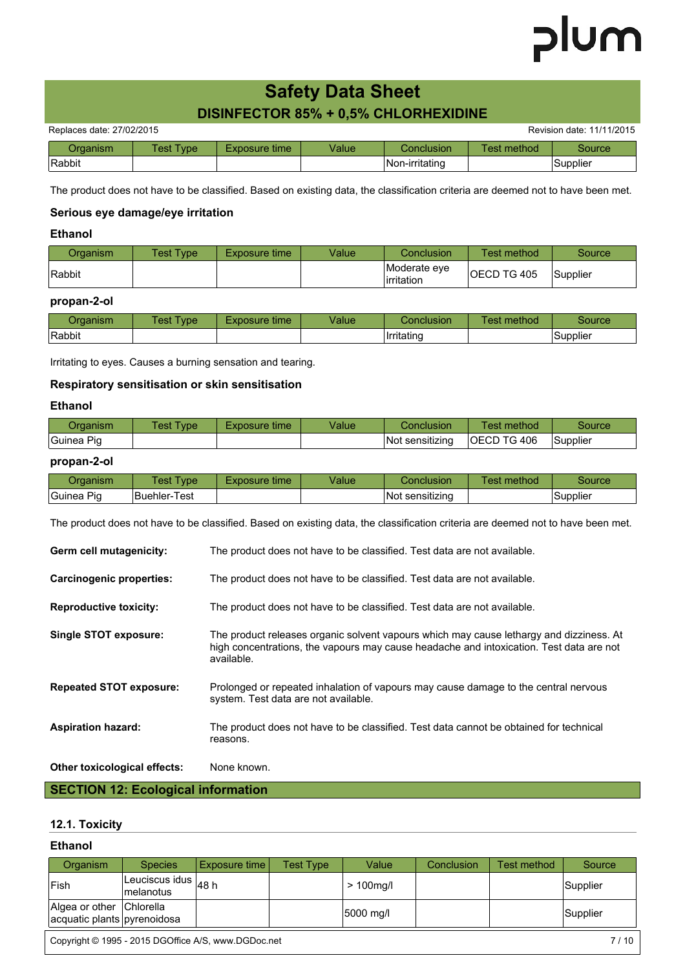# **Safety Data Sheet**

# **DISINFECTOR 85% + 0,5% CHLORHEXIDINE**

|              | $D_{\text{eff}}$ is in a state of $A$ |
|--------------|---------------------------------------|
| LVINILAIDINL |                                       |

| Replaces date: 27/02/2015 |           |               |       |                   |             | Revision date: 11/11/2015 |
|---------------------------|-----------|---------------|-------|-------------------|-------------|---------------------------|
| Organism                  | Test Tvpe | Exposure time | Value | <b>Conclusion</b> | Test method | Source                    |
| Rabbit                    |           |               |       | INon-irritating   |             | Supplier                  |

The product does not have to be classified. Based on existing data, the classification criteria are deemed not to have been met.

# **Serious eye damage/eye irritation**

# **Ethanol**

| Organism | Test Type | Exposure time | Value | Conclusion                  | Test method        | Source   |
|----------|-----------|---------------|-------|-----------------------------|--------------------|----------|
| Rabbit   |           |               |       | Moderate eve<br>lirritation | <b>OECD TG 405</b> | Supplier |

## **propan-2-ol**

| 0raanısm | Test<br>ype | time<br>Exposure | √alue | Conclusion | $\sim$<br><b>Fest method</b> | source   |
|----------|-------------|------------------|-------|------------|------------------------------|----------|
| Rabbit   |             |                  |       | Irritating |                              | Supplier |

Irritating to eyes. Causes a burning sensation and tearing.

## **Respiratory sensitisation or skin sensitisation**

### **Ethanol**

| Organism   | 「est<br><b>vpe</b> | Exposure time | Value | Conclusion      | <b>Fest method</b> | Source   |
|------------|--------------------|---------------|-------|-----------------|--------------------|----------|
| Guinea Piq |                    |               |       | Not sensitizing | <b>OECD TG 406</b> | Supplier |

# **propan-2-ol**

| ⊃rɑanısm                   | $Test \mathcal{F}$<br>ype. | Exposure time | √alue | Conclusion       | method<br>lest | Source   |
|----------------------------|----------------------------|---------------|-------|------------------|----------------|----------|
| <sup>l</sup> Guinea<br>Pig | <b>Buehler-Test</b>        |               |       | INot sensitizina |                | Supplier |

The product does not have to be classified. Based on existing data, the classification criteria are deemed not to have been met.

| Germ cell mutagenicity:         | The product does not have to be classified. Test data are not available.                                                                                                                         |
|---------------------------------|--------------------------------------------------------------------------------------------------------------------------------------------------------------------------------------------------|
| <b>Carcinogenic properties:</b> | The product does not have to be classified. Test data are not available.                                                                                                                         |
| <b>Reproductive toxicity:</b>   | The product does not have to be classified. Test data are not available.                                                                                                                         |
| Single STOT exposure:           | The product releases organic solvent vapours which may cause lethargy and dizziness. At<br>high concentrations, the vapours may cause headache and intoxication. Test data are not<br>available. |
| <b>Repeated STOT exposure:</b>  | Prolonged or repeated inhalation of vapours may cause damage to the central nervous<br>system. Test data are not available.                                                                      |
| <b>Aspiration hazard:</b>       | The product does not have to be classified. Test data cannot be obtained for technical<br>reasons.                                                                                               |
| Other toxicological effects:    | None known.                                                                                                                                                                                      |

# **SECTION 12: Ecological information**

## **12.1. Toxicity**

#### **Ethanol**

| Organism                                                | <b>Species</b>                          | Exposure time | <b>Test Type</b> | Value       | Conclusion | Test method | Source   |
|---------------------------------------------------------|-----------------------------------------|---------------|------------------|-------------|------------|-------------|----------|
| <b>Fish</b>                                             | Leuciscus idus $ _{48}$ h<br>Imelanotus |               |                  | $>100$ mg/l |            |             | Supplier |
| Algea or other Chlorella<br>acquatic plants pyrenoidosa |                                         |               |                  | 5000 mg/l   |            |             | Supplier |

Copyright © 1995 - 2015 DGOffice A/S, www.DGDoc.net 7 / 10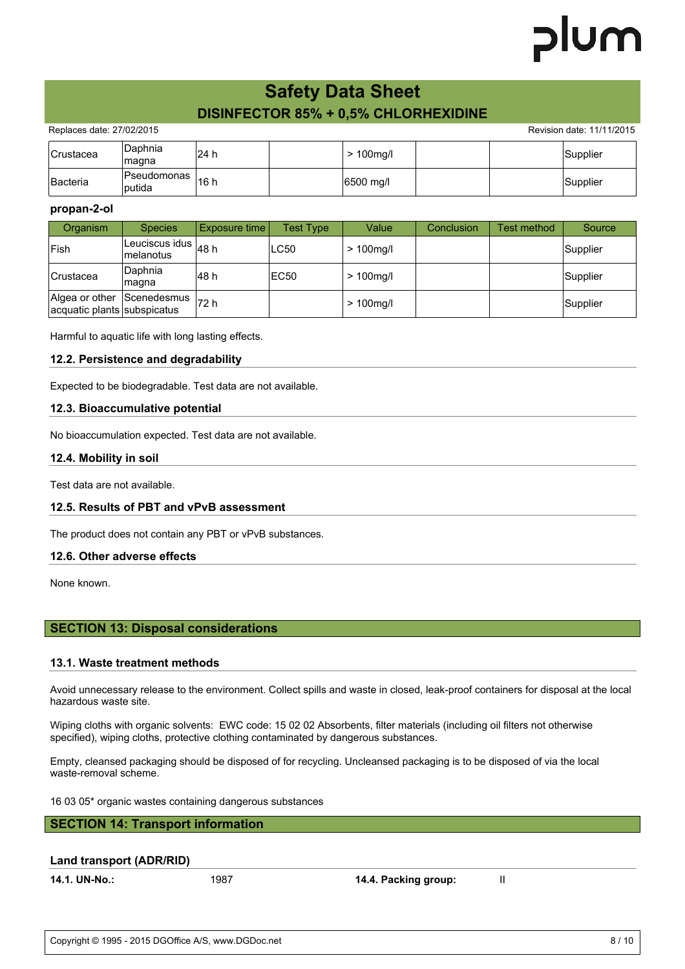# lum

# **Safety Data Sheet DISINFECTOR 85% + 0,5% CHLORHEXIDINE**

Replaces date: 27/02/2015 **Replaces** date: 11/11/2015

| <b>Crustacea</b> | <b>Daphnia</b><br>magna | <sup>i</sup> 24 h |  | $> 100$ mg/l |  | Supplier |
|------------------|-------------------------|-------------------|--|--------------|--|----------|
| Bacteria         | Pseudomonas  <br>putida | <sup>1</sup> 6 h  |  | 6500 mg/l    |  | Supplier |

#### **propan-2-ol**

| Organism                                                  | <b>Species</b>                              | Exposure time | Test Type   | Value        | Conclusion | Test method | Source   |
|-----------------------------------------------------------|---------------------------------------------|---------------|-------------|--------------|------------|-------------|----------|
| <b>Fish</b>                                               | Leuciscus idus $\vert_{48}$ h<br>Imelanotus |               | <b>LC50</b> | $> 100$ mg/l |            |             | Supplier |
| <b>Crustacea</b>                                          | Daphnia<br> magna                           | l48 h         | EC50        | $>100$ mg/l  |            |             | Supplier |
| Algea or other Scenedesmus<br>acquatic plants subspicatus |                                             | 172 h         |             | $> 100$ mg/l |            |             | Supplier |

Harmful to aquatic life with long lasting effects.

### **12.2. Persistence and degradability**

Expected to be biodegradable. Test data are not available.

#### **12.3. Bioaccumulative potential**

No bioaccumulation expected. Test data are not available.

#### **12.4. Mobility in soil**

Test data are not available.

## **12.5. Results of PBT and vPvB assessment**

The product does not contain any PBT or vPvB substances.

#### **12.6. Other adverse effects**

None known.

## **SECTION 13: Disposal considerations**

## **13.1. Waste treatment methods**

Avoid unnecessary release to the environment. Collect spills and waste in closed, leak-proof containers for disposal at the local hazardous waste site.

Wiping cloths with organic solvents: EWC code: 15 02 02 Absorbents, filter materials (including oil filters not otherwise specified), wiping cloths, protective clothing contaminated by dangerous substances.

Empty, cleansed packaging should be disposed of for recycling. Uncleansed packaging is to be disposed of via the local waste-removal scheme.

16 03 05\* organic wastes containing dangerous substances

# **SECTION 14: Transport information**

#### **Land transport (ADR/RID)**

**14.1. UN-No.:** 1987 **14.4. Packing group:** II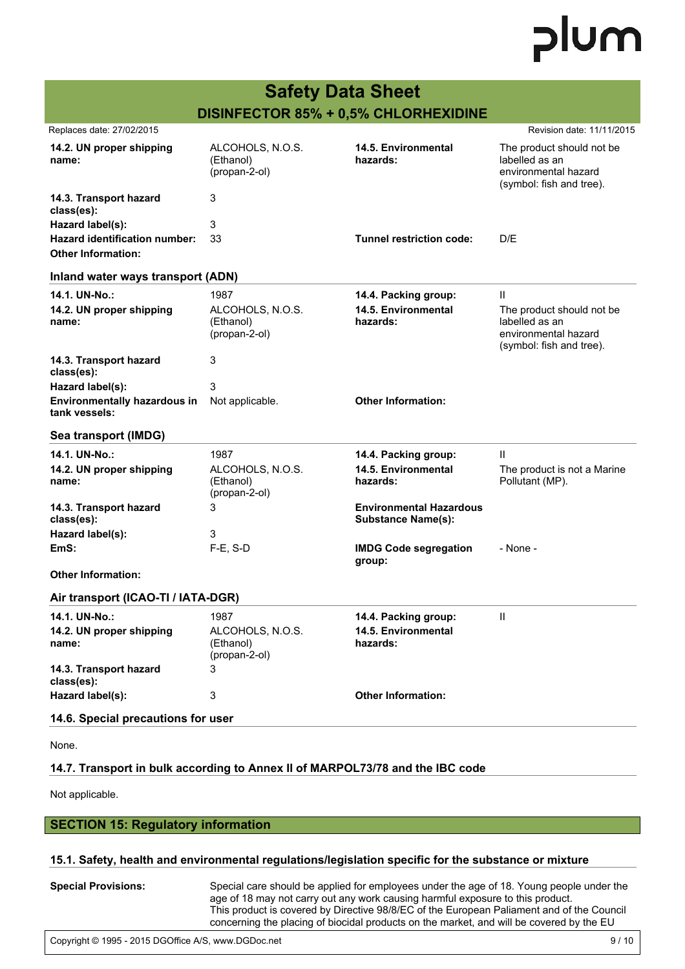|                                                            | <b>Safety Data Sheet</b>                       |                                                             |                                                                                                 |
|------------------------------------------------------------|------------------------------------------------|-------------------------------------------------------------|-------------------------------------------------------------------------------------------------|
|                                                            | DISINFECTOR 85% + 0,5% CHLORHEXIDINE           |                                                             |                                                                                                 |
| Replaces date: 27/02/2015                                  |                                                |                                                             | Revision date: 11/11/2015                                                                       |
| 14.2. UN proper shipping<br>name:                          | ALCOHOLS, N.O.S.<br>(Ethanol)<br>(propan-2-ol) | 14.5. Environmental<br>hazards:                             | The product should not be<br>labelled as an<br>environmental hazard<br>(symbol: fish and tree). |
| 14.3. Transport hazard<br>class(es):                       | 3                                              |                                                             |                                                                                                 |
| Hazard label(s):                                           | 3                                              |                                                             |                                                                                                 |
| Hazard identification number:<br><b>Other Information:</b> | 33                                             | <b>Tunnel restriction code:</b>                             | D/E                                                                                             |
| Inland water ways transport (ADN)                          |                                                |                                                             |                                                                                                 |
| 14.1. UN-No.:                                              | 1987                                           | 14.4. Packing group:                                        | Ш                                                                                               |
| 14.2. UN proper shipping<br>name:                          | ALCOHOLS, N.O.S.<br>(Ethanol)<br>(propan-2-ol) | 14.5. Environmental<br>hazards:                             | The product should not be<br>labelled as an<br>environmental hazard<br>(symbol: fish and tree). |
| 14.3. Transport hazard<br>class(es):                       | 3                                              |                                                             |                                                                                                 |
| Hazard label(s):                                           | 3                                              |                                                             |                                                                                                 |
| <b>Environmentally hazardous in</b><br>tank vessels:       | Not applicable.                                | <b>Other Information:</b>                                   |                                                                                                 |
| Sea transport (IMDG)                                       |                                                |                                                             |                                                                                                 |
| 14.1. UN-No.:                                              | 1987                                           | 14.4. Packing group:                                        | Ш                                                                                               |
| 14.2. UN proper shipping<br>name:                          | ALCOHOLS, N.O.S.<br>(Ethanol)<br>(propan-2-ol) | <b>14.5. Environmental</b><br>hazards:                      | The product is not a Marine<br>Pollutant (MP).                                                  |
| 14.3. Transport hazard<br>class(es):                       | 3                                              | <b>Environmental Hazardous</b><br><b>Substance Name(s):</b> |                                                                                                 |
| Hazard label(s):                                           | 3                                              |                                                             |                                                                                                 |
| EmS:                                                       | F-E, S-D                                       | <b>IMDG Code segregation</b><br>group:                      | - None -                                                                                        |
| <b>Other Information:</b>                                  |                                                |                                                             |                                                                                                 |
| Air transport (ICAO-TI / IATA-DGR)                         |                                                |                                                             |                                                                                                 |
| 14.1. UN-No.:                                              | 1987                                           | 14.4. Packing group:                                        | Ш                                                                                               |
| 14.2. UN proper shipping<br>name:                          | ALCOHOLS, N.O.S.<br>(Ethanol)<br>(propan-2-ol) | 14.5. Environmental<br>hazards:                             |                                                                                                 |
| 14.3. Transport hazard<br>class(es):                       | 3                                              |                                                             |                                                                                                 |
| Hazard label(s):                                           | 3                                              | <b>Other Information:</b>                                   |                                                                                                 |
| 14.6. Special precautions for user                         |                                                |                                                             |                                                                                                 |

None.

# **14.7. Transport in bulk according to Annex II of MARPOL73/78 and the IBC code**

Not applicable.

# **SECTION 15: Regulatory information**

# **15.1. Safety, health and environmental regulations/legislation specific for the substance or mixture**

| <b>Special Provisions:</b> | Special care should be applied for employees under the age of 18. Young people under the  |
|----------------------------|-------------------------------------------------------------------------------------------|
|                            | age of 18 may not carry out any work causing harmful exposure to this product.            |
|                            | This product is covered by Directive 98/8/EC of the European Paliament and of the Council |
|                            | concerning the placing of biocidal products on the market, and will be covered by the EU  |